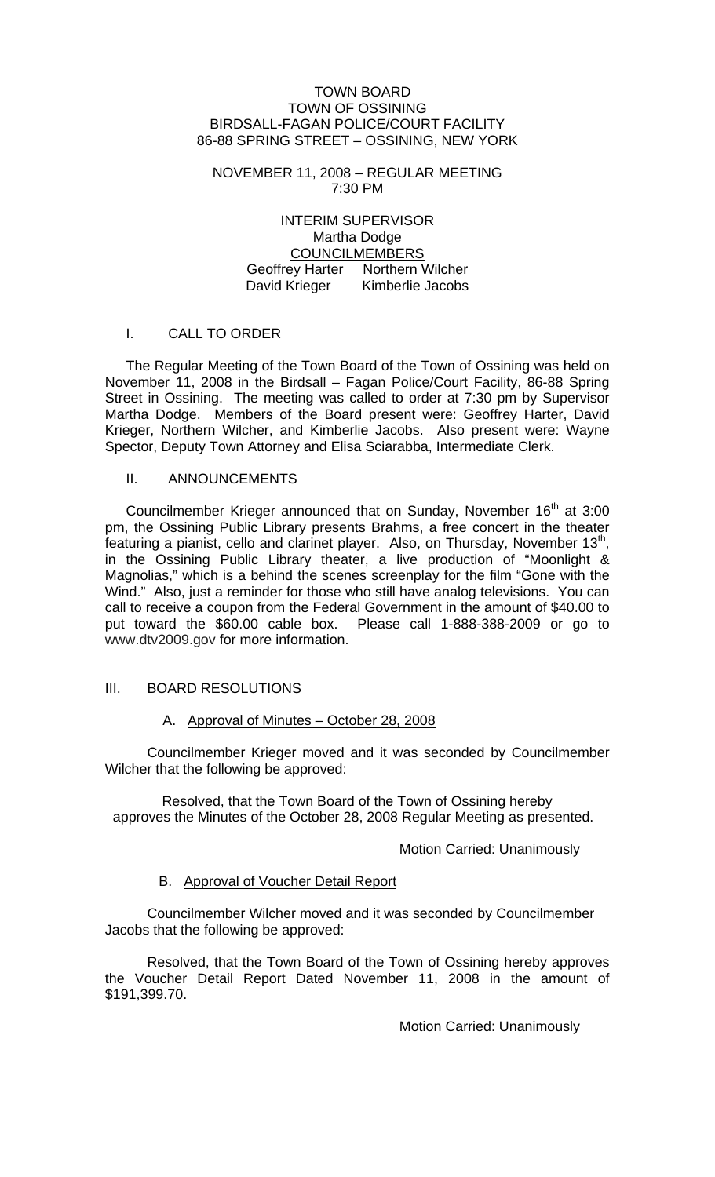#### TOWN BOARD TOWN OF OSSINING BIRDSALL-FAGAN POLICE/COURT FACILITY 86-88 SPRING STREET – OSSINING, NEW YORK

#### NOVEMBER 11, 2008 – REGULAR MEETING 7:30 PM

## INTERIM SUPERVISOR Martha Dodge COUNCILMEMBERS Geoffrey Harter Northern Wilcher David Krieger Kimberlie Jacobs

# I. CALL TO ORDER

The Regular Meeting of the Town Board of the Town of Ossining was held on November 11, 2008 in the Birdsall – Fagan Police/Court Facility, 86-88 Spring Street in Ossining. The meeting was called to order at 7:30 pm by Supervisor Martha Dodge. Members of the Board present were: Geoffrey Harter, David Krieger, Northern Wilcher, and Kimberlie Jacobs. Also present were: Wayne Spector, Deputy Town Attorney and Elisa Sciarabba, Intermediate Clerk.

## II. ANNOUNCEMENTS

Councilmember Krieger announced that on Sunday, November 16<sup>th</sup> at 3:00 pm, the Ossining Public Library presents Brahms, a free concert in the theater featuring a pianist, cello and clarinet player. Also, on Thursday, November  $13<sup>th</sup>$ , in the Ossining Public Library theater, a live production of "Moonlight & Magnolias," which is a behind the scenes screenplay for the film "Gone with the Wind." Also, just a reminder for those who still have analog televisions. You can call to receive a coupon from the Federal Government in the amount of \$40.00 to put toward the \$60.00 cable box. Please call 1-888-388-2009 or go to www.dtv2009.gov for more information.

# III. BOARD RESOLUTIONS

# A. Approval of Minutes – October 28, 2008

Councilmember Krieger moved and it was seconded by Councilmember Wilcher that the following be approved:

Resolved, that the Town Board of the Town of Ossining hereby approves the Minutes of the October 28, 2008 Regular Meeting as presented.

#### Motion Carried: Unanimously

#### B. Approval of Voucher Detail Report

 Councilmember Wilcher moved and it was seconded by Councilmember Jacobs that the following be approved:

 Resolved, that the Town Board of the Town of Ossining hereby approves the Voucher Detail Report Dated November 11, 2008 in the amount of \$191,399.70.

Motion Carried: Unanimously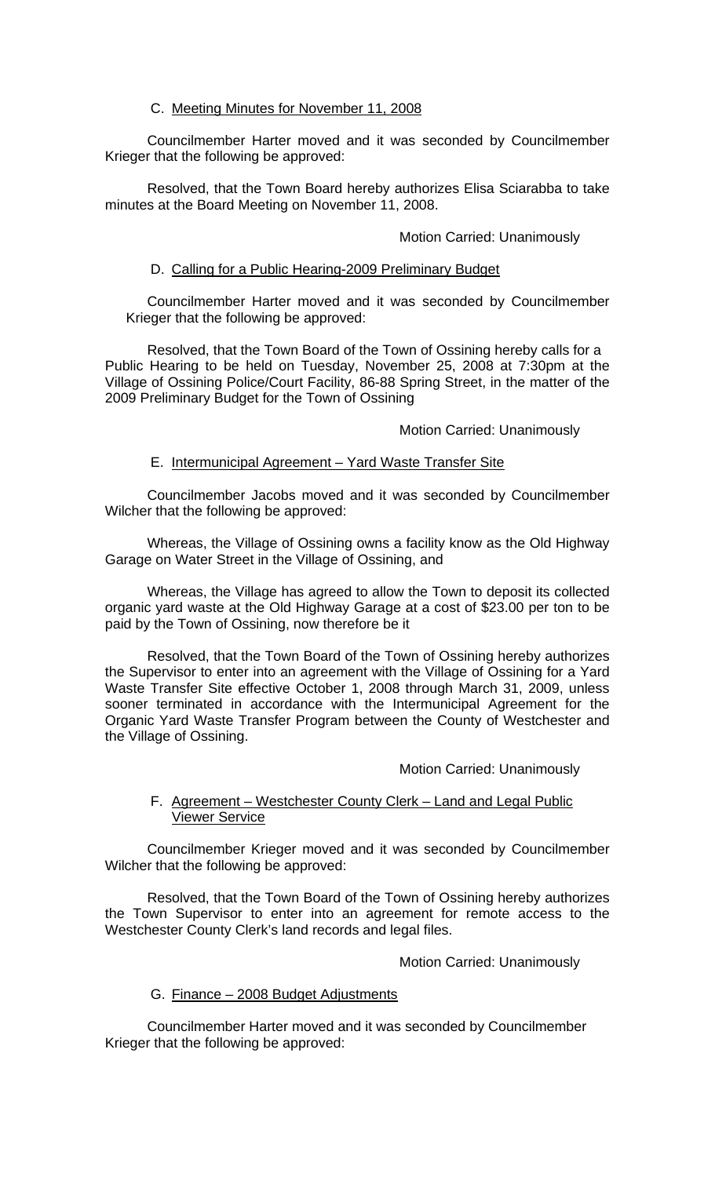## C. Meeting Minutes for November 11, 2008

Councilmember Harter moved and it was seconded by Councilmember Krieger that the following be approved:

Resolved, that the Town Board hereby authorizes Elisa Sciarabba to take minutes at the Board Meeting on November 11, 2008.

## Motion Carried: Unanimously

## D. Calling for a Public Hearing-2009 Preliminary Budget

Councilmember Harter moved and it was seconded by Councilmember Krieger that the following be approved:

Resolved, that the Town Board of the Town of Ossining hereby calls for a Public Hearing to be held on Tuesday, November 25, 2008 at 7:30pm at the Village of Ossining Police/Court Facility, 86-88 Spring Street, in the matter of the 2009 Preliminary Budget for the Town of Ossining

#### Motion Carried: Unanimously

## E. Intermunicipal Agreement – Yard Waste Transfer Site

Councilmember Jacobs moved and it was seconded by Councilmember Wilcher that the following be approved:

Whereas, the Village of Ossining owns a facility know as the Old Highway Garage on Water Street in the Village of Ossining, and

Whereas, the Village has agreed to allow the Town to deposit its collected organic yard waste at the Old Highway Garage at a cost of \$23.00 per ton to be paid by the Town of Ossining, now therefore be it

Resolved, that the Town Board of the Town of Ossining hereby authorizes the Supervisor to enter into an agreement with the Village of Ossining for a Yard Waste Transfer Site effective October 1, 2008 through March 31, 2009, unless sooner terminated in accordance with the Intermunicipal Agreement for the Organic Yard Waste Transfer Program between the County of Westchester and the Village of Ossining.

#### Motion Carried: Unanimously

## F. Agreement – Westchester County Clerk – Land and Legal Public Viewer Service

Councilmember Krieger moved and it was seconded by Councilmember Wilcher that the following be approved:

Resolved, that the Town Board of the Town of Ossining hereby authorizes the Town Supervisor to enter into an agreement for remote access to the Westchester County Clerk's land records and legal files.

Motion Carried: Unanimously

# G. Finance – 2008 Budget Adjustments

Councilmember Harter moved and it was seconded by Councilmember Krieger that the following be approved: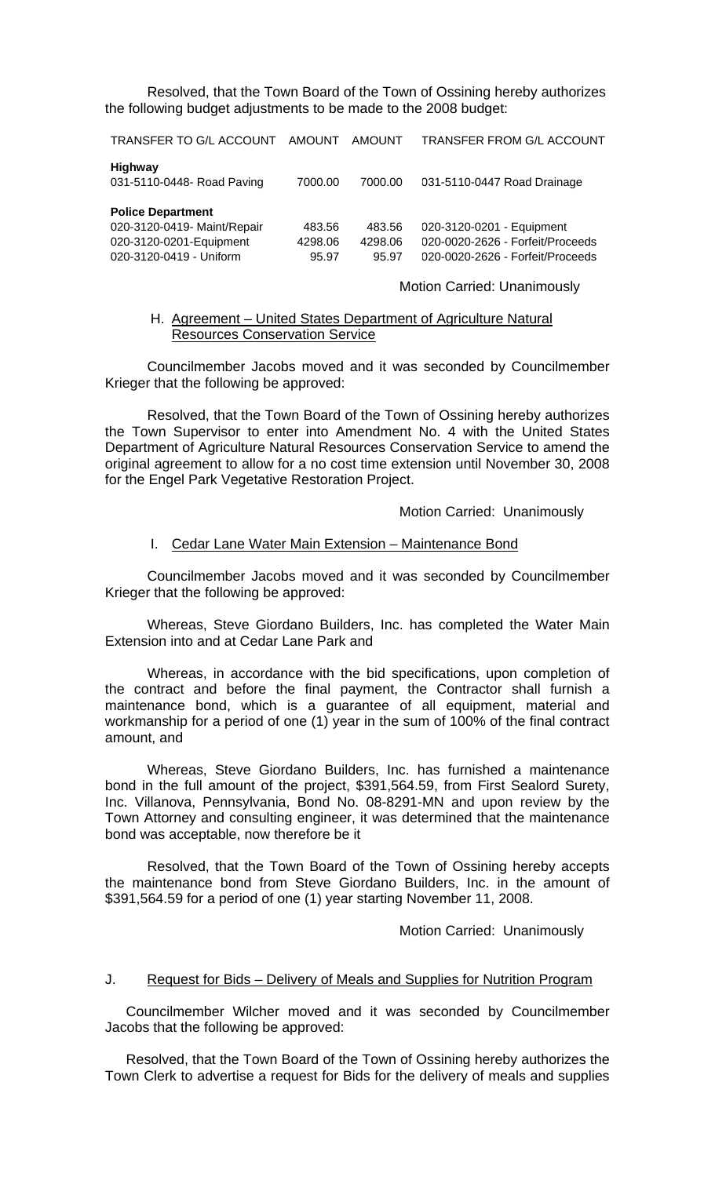Resolved, that the Town Board of the Town of Ossining hereby authorizes the following budget adjustments to be made to the 2008 budget:

TRANSFER TO G/L ACCOUNT AMOUNT AMOUNT TRANSFER FROM G/L ACCOUNT

| <b>Highway</b>             |         |         |                             |
|----------------------------|---------|---------|-----------------------------|
| 031-5110-0448- Road Paving | 7000.00 | 7000.00 | 031-5110-0447 Road Drainage |

| <b>Police Department</b>    |         |         |                                  |
|-----------------------------|---------|---------|----------------------------------|
| 020-3120-0419- Maint/Repair | 483.56  | 483.56  | 020-3120-0201 - Equipment        |
| 020-3120-0201-Equipment     | 4298.06 | 4298.06 | 020-0020-2626 - Forfeit/Proceeds |
| 020-3120-0419 - Uniform     | 95.97   | 95.97   | 020-0020-2626 - Forfeit/Proceeds |

Motion Carried: Unanimously

#### H. Agreement – United States Department of Agriculture Natural Resources Conservation Service

Councilmember Jacobs moved and it was seconded by Councilmember Krieger that the following be approved:

Resolved, that the Town Board of the Town of Ossining hereby authorizes the Town Supervisor to enter into Amendment No. 4 with the United States Department of Agriculture Natural Resources Conservation Service to amend the original agreement to allow for a no cost time extension until November 30, 2008 for the Engel Park Vegetative Restoration Project.

Motion Carried: Unanimously

#### I. Cedar Lane Water Main Extension – Maintenance Bond

Councilmember Jacobs moved and it was seconded by Councilmember Krieger that the following be approved:

Whereas, Steve Giordano Builders, Inc. has completed the Water Main Extension into and at Cedar Lane Park and

Whereas, in accordance with the bid specifications, upon completion of the contract and before the final payment, the Contractor shall furnish a maintenance bond, which is a guarantee of all equipment, material and workmanship for a period of one (1) year in the sum of 100% of the final contract amount, and

Whereas, Steve Giordano Builders, Inc. has furnished a maintenance bond in the full amount of the project, \$391,564.59, from First Sealord Surety, Inc. Villanova, Pennsylvania, Bond No. 08-8291-MN and upon review by the Town Attorney and consulting engineer, it was determined that the maintenance bond was acceptable, now therefore be it

Resolved, that the Town Board of the Town of Ossining hereby accepts the maintenance bond from Steve Giordano Builders, Inc. in the amount of \$391,564.59 for a period of one (1) year starting November 11, 2008.

Motion Carried: Unanimously

#### J. Request for Bids – Delivery of Meals and Supplies for Nutrition Program

Councilmember Wilcher moved and it was seconded by Councilmember Jacobs that the following be approved:

Resolved, that the Town Board of the Town of Ossining hereby authorizes the Town Clerk to advertise a request for Bids for the delivery of meals and supplies